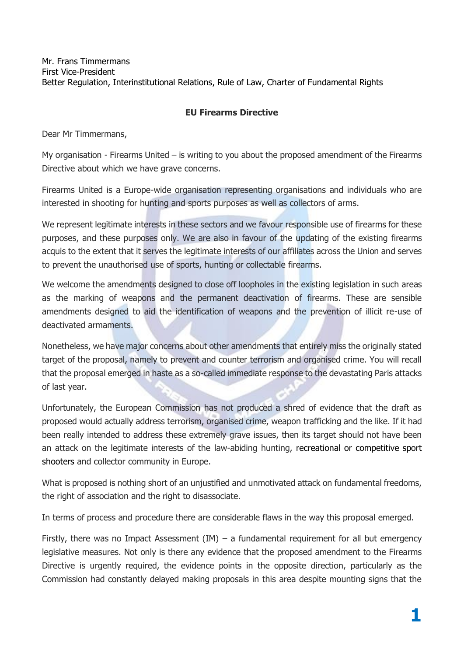Mr. Frans Timmermans First Vice-President Better Regulation, Interinstitutional Relations, Rule of Law, Charter of Fundamental Rights

## **EU Firearms Directive**

Dear Mr Timmermans,

My organisation - Firearms United  $-$  is writing to you about the proposed amendment of the Firearms Directive about which we have grave concerns.

Firearms United is a Europe-wide organisation representing organisations and individuals who are interested in shooting for hunting and sports purposes as well as collectors of arms.

We represent legitimate interests in these sectors and we favour responsible use of firearms for these purposes, and these purposes only. We are also in favour of the updating of the existing firearms acquis to the extent that it serves the legitimate interests of our affiliates across the Union and serves to prevent the unauthorised use of sports, hunting or collectable firearms.

We welcome the amendments designed to close off loopholes in the existing legislation in such areas as the marking of weapons and the permanent deactivation of firearms. These are sensible amendments designed to aid the identification of weapons and the prevention of illicit re-use of deactivated armaments.

Nonetheless, we have major concerns about other amendments that entirely miss the originally stated target of the proposal, namely to prevent and counter terrorism and organised crime. You will recall that the proposal emerged in haste as a so-called immediate response to the devastating Paris attacks of last year.

Unfortunately, the European Commission has not produced a shred of evidence that the draft as proposed would actually address terrorism, organised crime, weapon trafficking and the like. If it had been really intended to address these extremely grave issues, then its target should not have been an attack on the legitimate interests of the law-abiding hunting, recreational or competitive sport shooters and collector community in Europe.

What is proposed is nothing short of an unjustified and unmotivated attack on fundamental freedoms, the right of association and the right to disassociate.

In terms of process and procedure there are considerable flaws in the way this proposal emerged.

Firstly, there was no Impact Assessment (IM) – a fundamental requirement for all but emergency legislative measures. Not only is there any evidence that the proposed amendment to the Firearms Directive is urgently required, the evidence points in the opposite direction, particularly as the Commission had constantly delayed making proposals in this area despite mounting signs that the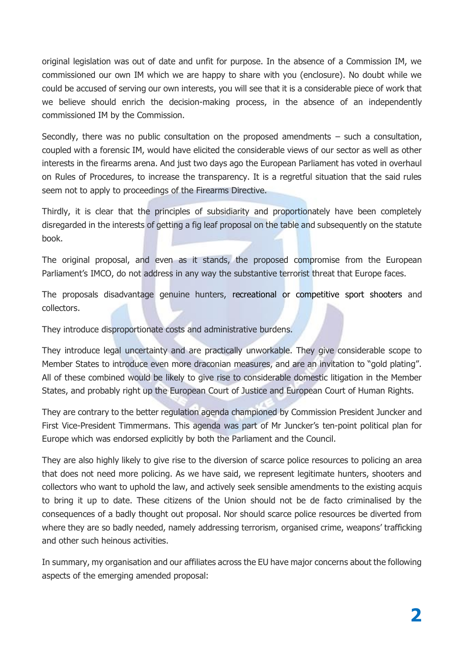original legislation was out of date and unfit for purpose. In the absence of a Commission IM, we commissioned our own IM which we are happy to share with you (enclosure). No doubt while we could be accused of serving our own interests, you will see that it is a considerable piece of work that we believe should enrich the decision-making process, in the absence of an independently commissioned IM by the Commission.

Secondly, there was no public consultation on the proposed amendments – such a consultation, coupled with a forensic IM, would have elicited the considerable views of our sector as well as other interests in the firearms arena. And just two days ago the European Parliament has voted in overhaul on Rules of Procedures, to increase the transparency. It is a regretful situation that the said rules seem not to apply to proceedings of the Firearms Directive.

Thirdly, it is clear that the principles of subsidiarity and proportionately have been completely disregarded in the interests of getting a fig leaf proposal on the table and subsequently on the statute book.

The original proposal, and even as it stands, the proposed compromise from the European Parliament's IMCO, do not address in any way the substantive terrorist threat that Europe faces.

The proposals disadvantage genuine hunters, recreational or competitive sport shooters and collectors.

They introduce disproportionate costs and administrative burdens.

They introduce legal uncertainty and are practically unworkable. They give considerable scope to Member States to introduce even more draconian measures, and are an invitation to "gold plating". All of these combined would be likely to give rise to considerable domestic litigation in the Member States, and probably right up the European Court of Justice and European Court of Human Rights.

They are contrary to the better regulation agenda championed by Commission President Juncker and First Vice-President Timmermans. This agenda was part of Mr Juncker's ten-point political plan for Europe which was endorsed explicitly by both the Parliament and the Council.

They are also highly likely to give rise to the diversion of scarce police resources to policing an area that does not need more policing. As we have said, we represent legitimate hunters, shooters and collectors who want to uphold the law, and actively seek sensible amendments to the existing acquis to bring it up to date. These citizens of the Union should not be de facto criminalised by the consequences of a badly thought out proposal. Nor should scarce police resources be diverted from where they are so badly needed, namely addressing terrorism, organised crime, weapons' trafficking and other such heinous activities.

In summary, my organisation and our affiliates across the EU have major concerns about the following aspects of the emerging amended proposal: